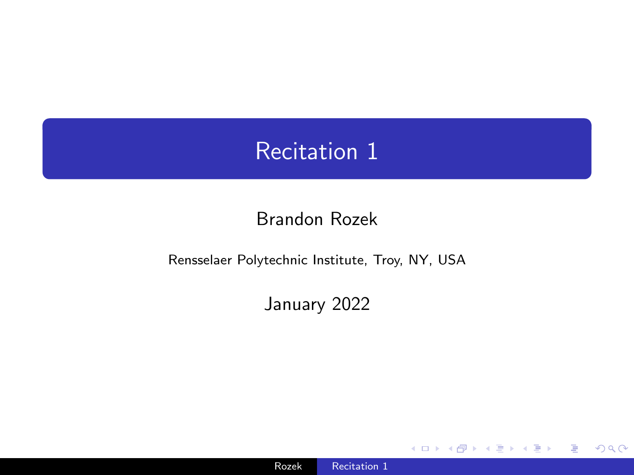## <span id="page-0-0"></span>Recitation 1

### Brandon Rozek

#### Rensselaer Polytechnic Institute, Troy, NY, USA

#### January 2022

4日下

 $299$ 

目り 准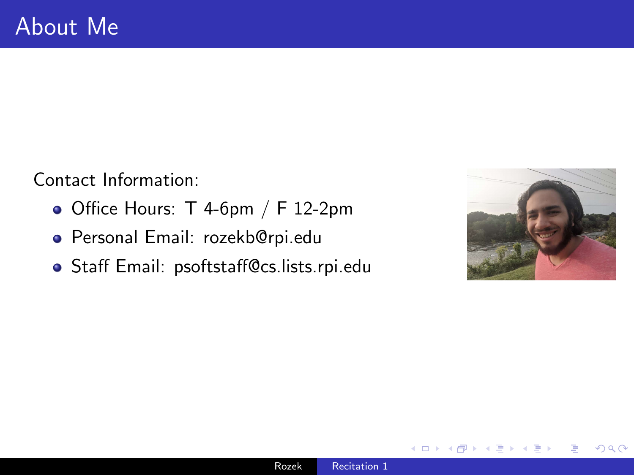Contact Information:

- $\bullet$  Office Hours: T 4-6pm / F 12-2pm
- Personal Email: rozekb@rpi.edu
- Staff Email: psoftstaff@cs.lists.rpi.edu

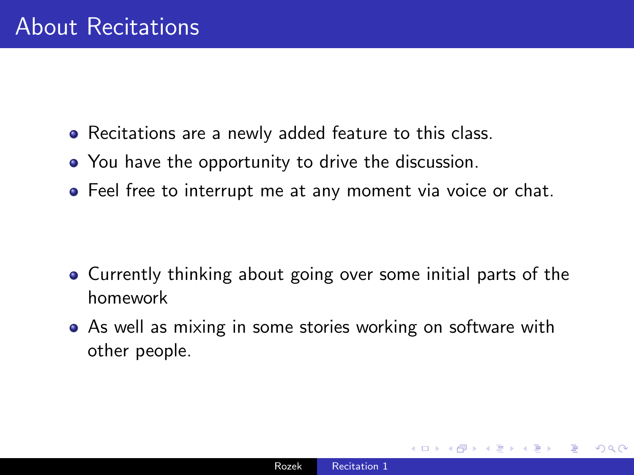- Recitations are a newly added feature to this class.
- You have the opportunity to drive the discussion.
- Feel free to interrupt me at any moment via voice or chat.

- Currently thinking about going over some initial parts of the homework
- As well as mixing in some stories working on software with other people.

つくい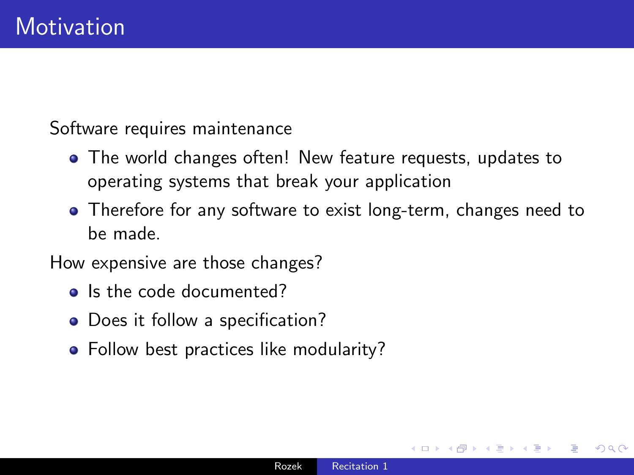Software requires maintenance

- The world changes often! New feature requests, updates to operating systems that break your application
- Therefore for any software to exist long-term, changes need to be made.

How expensive are those changes?

- Is the code documented?
- Does it follow a specification?
- Follow best practices like modularity?

つくい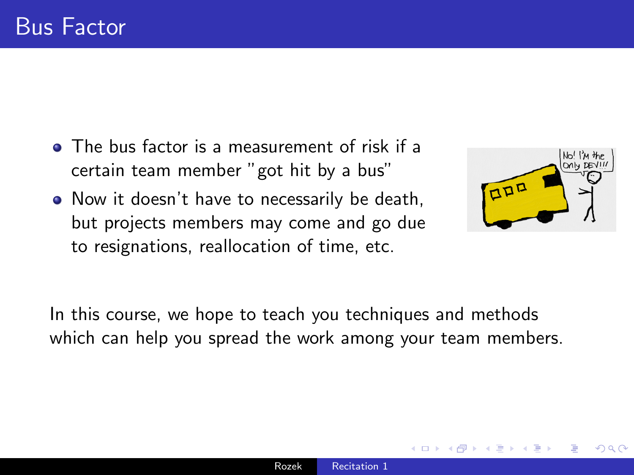- The bus factor is a measurement of risk if a certain team member "got hit by a bus"
- Now it doesn't have to necessarily be death, but projects members may come and go due to resignations, reallocation of time, etc.



In this course, we hope to teach you techniques and methods which can help you spread the work among your team members.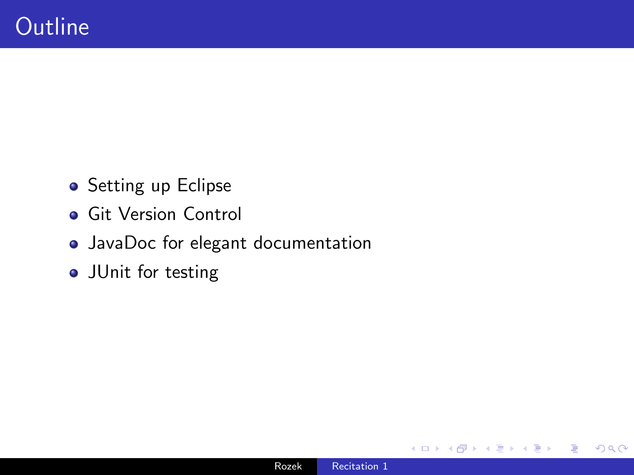- Setting up Eclipse
- **Git Version Control**
- JavaDoc for elegant documentation
- **•** JUnit for testing

つくへ

∍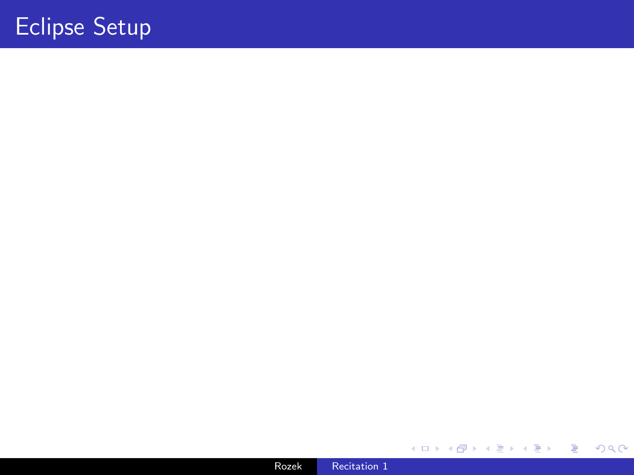# Eclipse Setup

Rozek [Recitation 1](#page-0-0)

医间面的

**K ロ ▶ K 御 ▶ K ミ** 

ă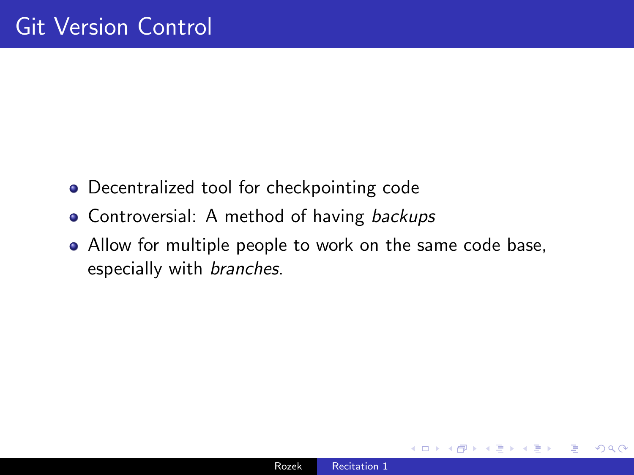- Decentralized tool for checkpointing code
- Controversial: A method of having backups
- Allow for multiple people to work on the same code base, especially with branches.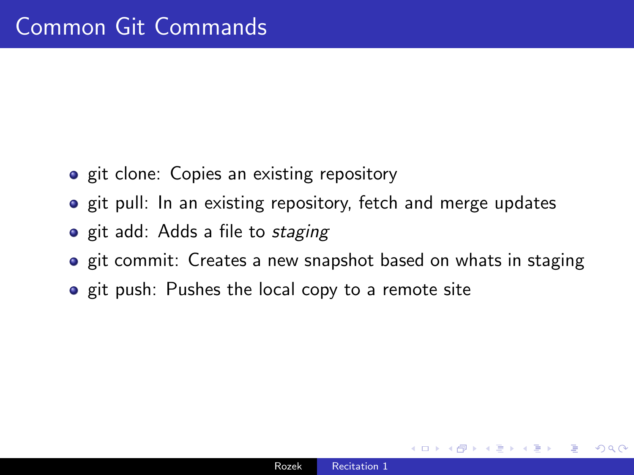- **•** git clone: Copies an existing repository
- **o** git pull: In an existing repository, fetch and merge updates
- **•** git add: Adds a file to *staging*
- **•** git commit: Creates a new snapshot based on whats in staging
- **•** git push: Pushes the local copy to a remote site

つくい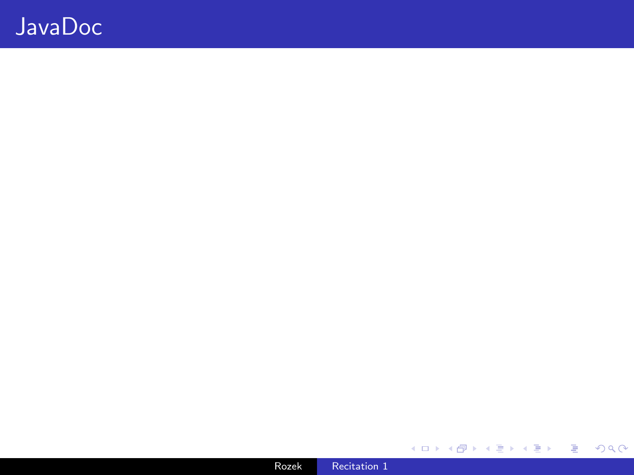### JavaDoc

K ロ → K 御 → K 君 → K 君 → 「君 → り Q Q →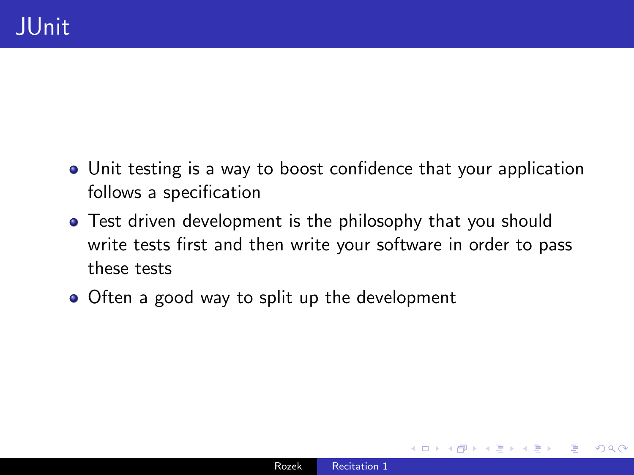- Unit testing is a way to boost confidence that your application follows a specification
- **•** Test driven development is the philosophy that you should write tests first and then write your software in order to pass these tests
- Often a good way to split up the development